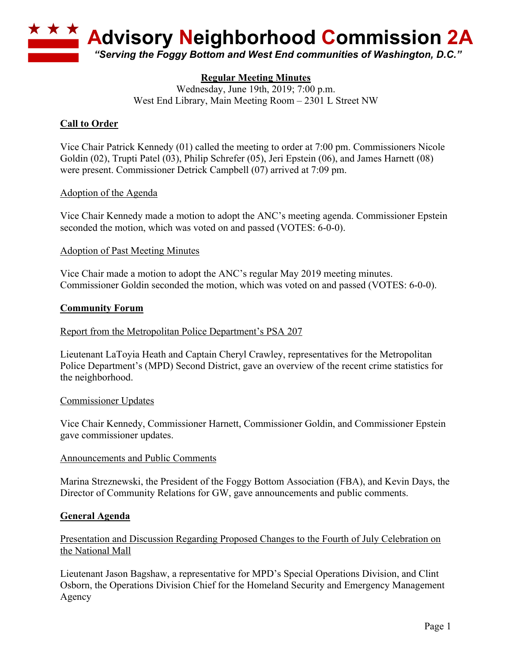

# **Regular Meeting Minutes**

Wednesday, June 19th, 2019; 7:00 p.m. West End Library, Main Meeting Room – 2301 L Street NW

## **Call to Order**

Vice Chair Patrick Kennedy (01) called the meeting to order at 7:00 pm. Commissioners Nicole Goldin (02), Trupti Patel (03), Philip Schrefer (05), Jeri Epstein (06), and James Harnett (08) were present. Commissioner Detrick Campbell (07) arrived at 7:09 pm.

### Adoption of the Agenda

Vice Chair Kennedy made a motion to adopt the ANC's meeting agenda. Commissioner Epstein seconded the motion, which was voted on and passed (VOTES: 6-0-0).

### Adoption of Past Meeting Minutes

Vice Chair made a motion to adopt the ANC's regular May 2019 meeting minutes. Commissioner Goldin seconded the motion, which was voted on and passed (VOTES: 6-0-0).

#### **Community Forum**

### Report from the Metropolitan Police Department's PSA 207

Lieutenant LaToyia Heath and Captain Cheryl Crawley, representatives for the Metropolitan Police Department's (MPD) Second District, gave an overview of the recent crime statistics for the neighborhood.

#### Commissioner Updates

Vice Chair Kennedy, Commissioner Harnett, Commissioner Goldin, and Commissioner Epstein gave commissioner updates.

### Announcements and Public Comments

Marina Streznewski, the President of the Foggy Bottom Association (FBA), and Kevin Days, the Director of Community Relations for GW, gave announcements and public comments.

### **General Agenda**

### Presentation and Discussion Regarding Proposed Changes to the Fourth of July Celebration on the National Mall

Lieutenant Jason Bagshaw, a representative for MPD's Special Operations Division, and Clint Osborn, the Operations Division Chief for the Homeland Security and Emergency Management Agency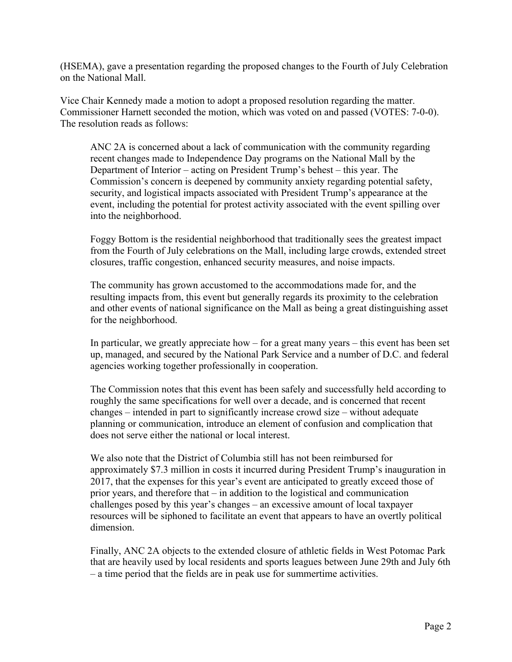(HSEMA), gave a presentation regarding the proposed changes to the Fourth of July Celebration on the National Mall.

Vice Chair Kennedy made a motion to adopt a proposed resolution regarding the matter. Commissioner Harnett seconded the motion, which was voted on and passed (VOTES: 7-0-0). The resolution reads as follows:

ANC 2A is concerned about a lack of communication with the community regarding recent changes made to Independence Day programs on the National Mall by the Department of Interior – acting on President Trump's behest – this year. The Commission's concern is deepened by community anxiety regarding potential safety, security, and logistical impacts associated with President Trump's appearance at the event, including the potential for protest activity associated with the event spilling over into the neighborhood.

Foggy Bottom is the residential neighborhood that traditionally sees the greatest impact from the Fourth of July celebrations on the Mall, including large crowds, extended street closures, traffic congestion, enhanced security measures, and noise impacts.

The community has grown accustomed to the accommodations made for, and the resulting impacts from, this event but generally regards its proximity to the celebration and other events of national significance on the Mall as being a great distinguishing asset for the neighborhood.

In particular, we greatly appreciate how  $-$  for a great many years  $-$  this event has been set up, managed, and secured by the National Park Service and a number of D.C. and federal agencies working together professionally in cooperation.

The Commission notes that this event has been safely and successfully held according to roughly the same specifications for well over a decade, and is concerned that recent changes – intended in part to significantly increase crowd size – without adequate planning or communication, introduce an element of confusion and complication that does not serve either the national or local interest.

We also note that the District of Columbia still has not been reimbursed for approximately \$7.3 million in costs it incurred during President Trump's inauguration in 2017, that the expenses for this year's event are anticipated to greatly exceed those of prior years, and therefore that – in addition to the logistical and communication challenges posed by this year's changes – an excessive amount of local taxpayer resources will be siphoned to facilitate an event that appears to have an overtly political dimension.

Finally, ANC 2A objects to the extended closure of athletic fields in West Potomac Park that are heavily used by local residents and sports leagues between June 29th and July 6th – a time period that the fields are in peak use for summertime activities.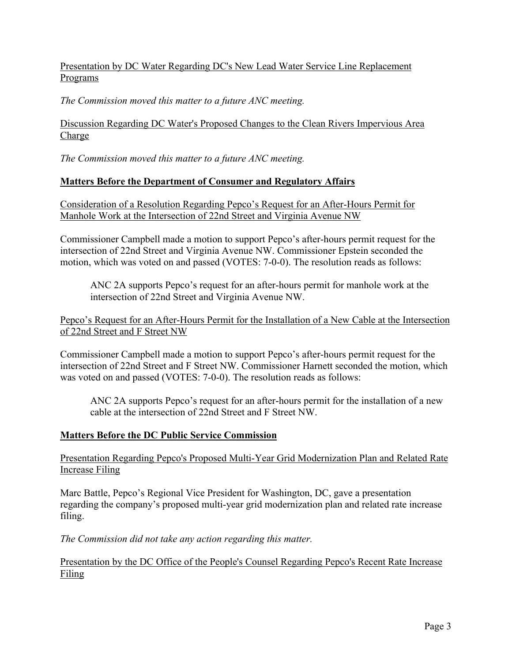## Presentation by DC Water Regarding DC's New Lead Water Service Line Replacement Programs

*The Commission moved this matter to a future ANC meeting.*

Discussion Regarding DC Water's Proposed Changes to the Clean Rivers Impervious Area Charge

*The Commission moved this matter to a future ANC meeting.*

# **Matters Before the Department of Consumer and Regulatory Affairs**

Consideration of a Resolution Regarding Pepco's Request for an After-Hours Permit for Manhole Work at the Intersection of 22nd Street and Virginia Avenue NW

Commissioner Campbell made a motion to support Pepco's after-hours permit request for the intersection of 22nd Street and Virginia Avenue NW. Commissioner Epstein seconded the motion, which was voted on and passed (VOTES: 7-0-0). The resolution reads as follows:

ANC 2A supports Pepco's request for an after-hours permit for manhole work at the intersection of 22nd Street and Virginia Avenue NW.

Pepco's Request for an After-Hours Permit for the Installation of a New Cable at the Intersection of 22nd Street and F Street NW

Commissioner Campbell made a motion to support Pepco's after-hours permit request for the intersection of 22nd Street and F Street NW. Commissioner Harnett seconded the motion, which was voted on and passed (VOTES: 7-0-0). The resolution reads as follows:

ANC 2A supports Pepco's request for an after-hours permit for the installation of a new cable at the intersection of 22nd Street and F Street NW.

## **Matters Before the DC Public Service Commission**

# Presentation Regarding Pepco's Proposed Multi-Year Grid Modernization Plan and Related Rate Increase Filing

Marc Battle, Pepco's Regional Vice President for Washington, DC, gave a presentation regarding the company's proposed multi-year grid modernization plan and related rate increase filing.

*The Commission did not take any action regarding this matter.*

## Presentation by the DC Office of the People's Counsel Regarding Pepco's Recent Rate Increase Filing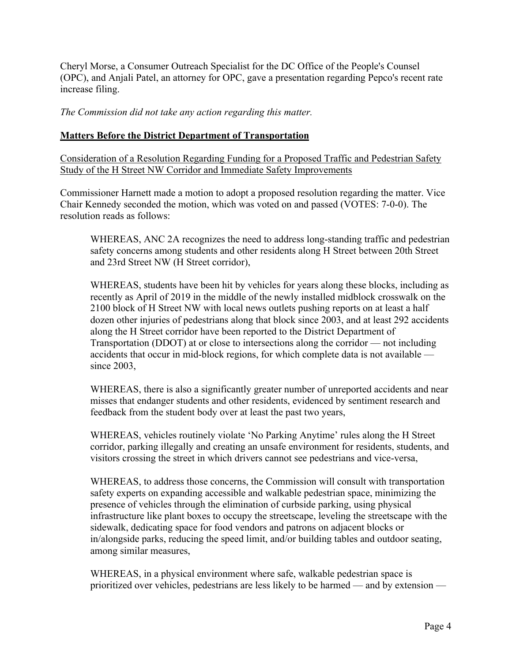Cheryl Morse, a Consumer Outreach Specialist for the DC Office of the People's Counsel (OPC), and Anjali Patel, an attorney for OPC, gave a presentation regarding Pepco's recent rate increase filing.

*The Commission did not take any action regarding this matter.*

## **Matters Before the District Department of Transportation**

Consideration of a Resolution Regarding Funding for a Proposed Traffic and Pedestrian Safety Study of the H Street NW Corridor and Immediate Safety Improvements

Commissioner Harnett made a motion to adopt a proposed resolution regarding the matter. Vice Chair Kennedy seconded the motion, which was voted on and passed (VOTES: 7-0-0). The resolution reads as follows:

WHEREAS, ANC 2A recognizes the need to address long-standing traffic and pedestrian safety concerns among students and other residents along H Street between 20th Street and 23rd Street NW (H Street corridor),

WHEREAS, students have been hit by vehicles for years along these blocks, including as recently as April of 2019 in the middle of the newly installed midblock crosswalk on the 2100 block of H Street NW with local news outlets pushing reports on at least a half dozen other injuries of pedestrians along that block since 2003, and at least 292 accidents along the H Street corridor have been reported to the District Department of Transportation (DDOT) at or close to intersections along the corridor — not including accidents that occur in mid-block regions, for which complete data is not available since 2003,

WHEREAS, there is also a significantly greater number of unreported accidents and near misses that endanger students and other residents, evidenced by sentiment research and feedback from the student body over at least the past two years,

WHEREAS, vehicles routinely violate 'No Parking Anytime' rules along the H Street corridor, parking illegally and creating an unsafe environment for residents, students, and visitors crossing the street in which drivers cannot see pedestrians and vice-versa,

WHEREAS, to address those concerns, the Commission will consult with transportation safety experts on expanding accessible and walkable pedestrian space, minimizing the presence of vehicles through the elimination of curbside parking, using physical infrastructure like plant boxes to occupy the streetscape, leveling the streetscape with the sidewalk, dedicating space for food vendors and patrons on adjacent blocks or in/alongside parks, reducing the speed limit, and/or building tables and outdoor seating, among similar measures,

WHEREAS, in a physical environment where safe, walkable pedestrian space is prioritized over vehicles, pedestrians are less likely to be harmed — and by extension —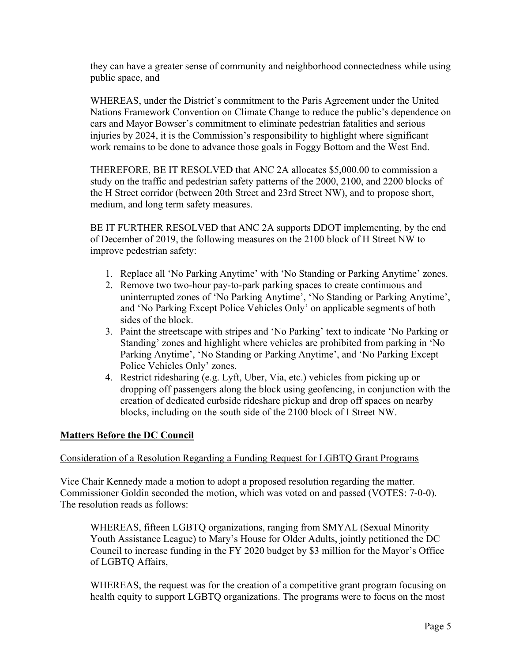they can have a greater sense of community and neighborhood connectedness while using public space, and

WHEREAS, under the District's commitment to the Paris Agreement under the United Nations Framework Convention on Climate Change to reduce the public's dependence on cars and Mayor Bowser's commitment to eliminate pedestrian fatalities and serious injuries by 2024, it is the Commission's responsibility to highlight where significant work remains to be done to advance those goals in Foggy Bottom and the West End.

THEREFORE, BE IT RESOLVED that ANC 2A allocates \$5,000.00 to commission a study on the traffic and pedestrian safety patterns of the 2000, 2100, and 2200 blocks of the H Street corridor (between 20th Street and 23rd Street NW), and to propose short, medium, and long term safety measures.

BE IT FURTHER RESOLVED that ANC 2A supports DDOT implementing, by the end of December of 2019, the following measures on the 2100 block of H Street NW to improve pedestrian safety:

- 1. Replace all 'No Parking Anytime' with 'No Standing or Parking Anytime' zones.
- 2. Remove two two-hour pay-to-park parking spaces to create continuous and uninterrupted zones of 'No Parking Anytime', 'No Standing or Parking Anytime', and 'No Parking Except Police Vehicles Only' on applicable segments of both sides of the block.
- 3. Paint the streetscape with stripes and 'No Parking' text to indicate 'No Parking or Standing' zones and highlight where vehicles are prohibited from parking in 'No Parking Anytime', 'No Standing or Parking Anytime', and 'No Parking Except Police Vehicles Only' zones.
- 4. Restrict ridesharing (e.g. Lyft, Uber, Via, etc.) vehicles from picking up or dropping off passengers along the block using geofencing, in conjunction with the creation of dedicated curbside rideshare pickup and drop off spaces on nearby blocks, including on the south side of the 2100 block of I Street NW.

### **Matters Before the DC Council**

### Consideration of a Resolution Regarding a Funding Request for LGBTQ Grant Programs

Vice Chair Kennedy made a motion to adopt a proposed resolution regarding the matter. Commissioner Goldin seconded the motion, which was voted on and passed (VOTES: 7-0-0). The resolution reads as follows:

WHEREAS, fifteen LGBTQ organizations, ranging from SMYAL (Sexual Minority Youth Assistance League) to Mary's House for Older Adults, jointly petitioned the DC Council to increase funding in the FY 2020 budget by \$3 million for the Mayor's Office of LGBTQ Affairs,

WHEREAS, the request was for the creation of a competitive grant program focusing on health equity to support LGBTQ organizations. The programs were to focus on the most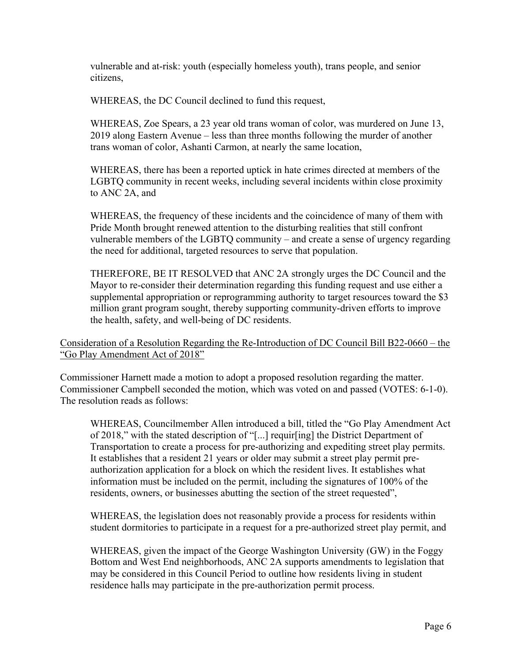vulnerable and at-risk: youth (especially homeless youth), trans people, and senior citizens,

WHEREAS, the DC Council declined to fund this request,

WHEREAS, Zoe Spears, a 23 year old trans woman of color, was murdered on June 13, 2019 along Eastern Avenue – less than three months following the murder of another trans woman of color, Ashanti Carmon, at nearly the same location,

WHEREAS, there has been a reported uptick in hate crimes directed at members of the LGBTQ community in recent weeks, including several incidents within close proximity to ANC 2A, and

WHEREAS, the frequency of these incidents and the coincidence of many of them with Pride Month brought renewed attention to the disturbing realities that still confront vulnerable members of the LGBTQ community – and create a sense of urgency regarding the need for additional, targeted resources to serve that population.

THEREFORE, BE IT RESOLVED that ANC 2A strongly urges the DC Council and the Mayor to re-consider their determination regarding this funding request and use either a supplemental appropriation or reprogramming authority to target resources toward the \$3 million grant program sought, thereby supporting community-driven efforts to improve the health, safety, and well-being of DC residents.

## Consideration of a Resolution Regarding the Re-Introduction of DC Council Bill B22-0660 – the "Go Play Amendment Act of 2018"

Commissioner Harnett made a motion to adopt a proposed resolution regarding the matter. Commissioner Campbell seconded the motion, which was voted on and passed (VOTES: 6-1-0). The resolution reads as follows:

WHEREAS, Councilmember Allen introduced a bill, titled the "Go Play Amendment Act of 2018," with the stated description of "[...] requir[ing] the District Department of Transportation to create a process for pre-authorizing and expediting street play permits. It establishes that a resident 21 years or older may submit a street play permit preauthorization application for a block on which the resident lives. It establishes what information must be included on the permit, including the signatures of 100% of the residents, owners, or businesses abutting the section of the street requested",

WHEREAS, the legislation does not reasonably provide a process for residents within student dormitories to participate in a request for a pre-authorized street play permit, and

WHEREAS, given the impact of the George Washington University (GW) in the Foggy Bottom and West End neighborhoods, ANC 2A supports amendments to legislation that may be considered in this Council Period to outline how residents living in student residence halls may participate in the pre-authorization permit process.